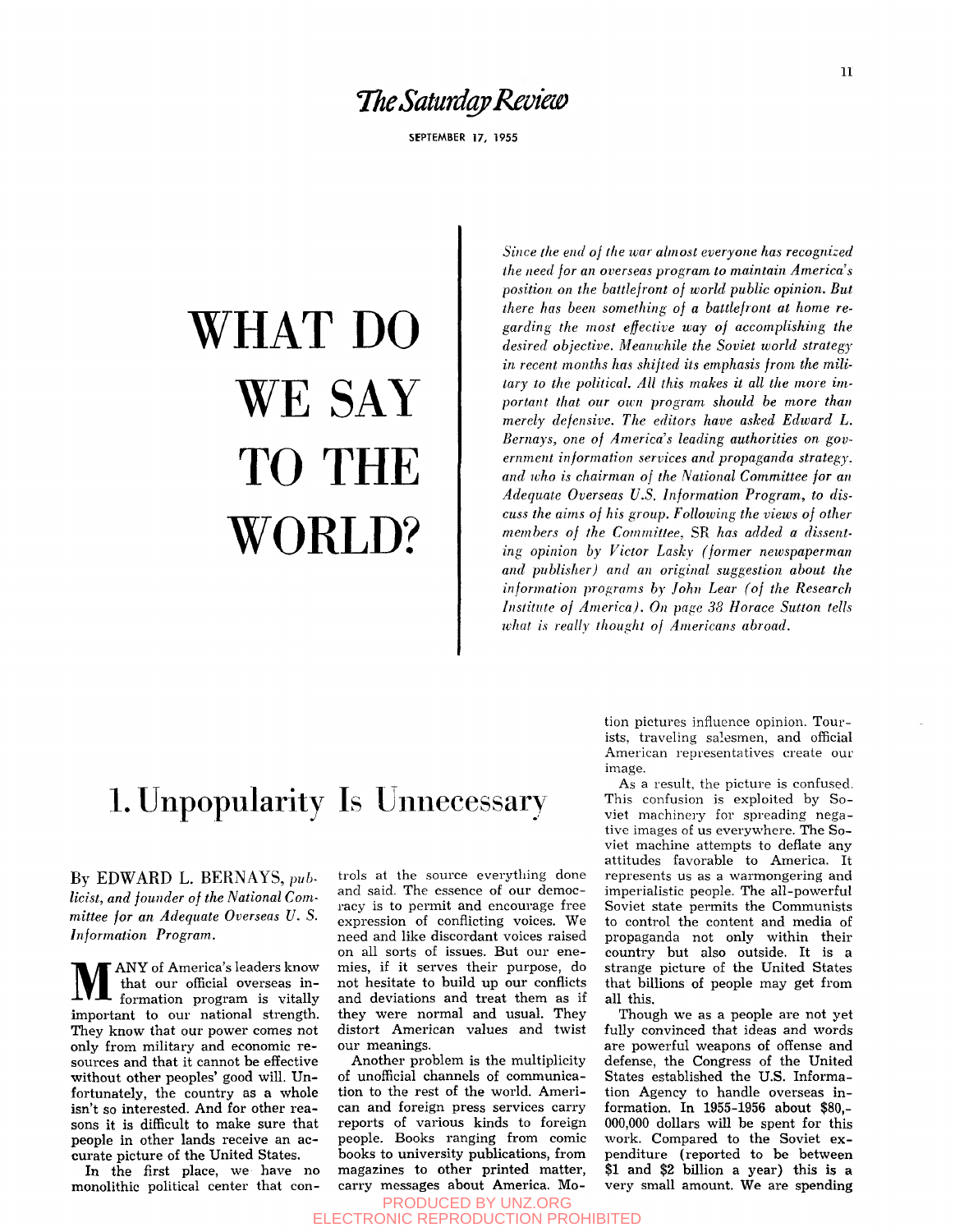#### *TheSaturdapRevieis)*

SEPTEMBER 17, 1955

# WHAT DO WE SAY TO THE WORLD?

*Since the end of the war almost everyone has recognized the need for an overseas program to maintain America's position on the battlefront of world public opinion. But there has been something of a battlefront at home regarding the most effective ivay of accomplishing the desired objective. Meanwhile the Soviet world strategy in recent months has shifted its emphasis from the military to the political. All this makes it all the more important that our own program should be more than merely defensive. The editors have asked Edward L.*  Bernays, one of America's leading authorities on gov*ernment information services and propaganda strategy, and who is chairman of the National Committee for an Adequate Overseas U.S. Information Program, to discuss the aims of his group. Following the views of other members of the Committee,* SR *has added a dissenting opinion by Victor Laskv (former newspaperman and publisher) and an original suggestion about the information programs by John Lear (of the Research Institute of America). On page 38 Horace Sutton tells what is really thought of Americans abroad.* 

# 1. Unpopularity Is Unnecessary

By EDWARD L. BERNAYS, *pub-Heist, and founder of the National Committee for an Adequate Overseas U. S. Information Program.* 

 $\mathbf{M}^{\prime}$ ANY of America's leaders know that our official overseas information program is vitally important to our national strength. They know that our power comes not only from military and economic re sources and that it cannot be effective without other peoples' good will. Unfortunately, the country as a whole isn't so interested. And for other reasons it is difficult to make sure that people in other lands receive an accurate picture of the United States.

In the first place, we have no monolithic political center that controls at the source everything done and said. The essence of our democracy is to permit and encourage free expression of conflicting voices. We need and like discordant voices raised on all sorts of issues. But our enemies, if it serves their purpose, do not hesitate to build up our conflicts and deviations and treat them as if they were normal and usual. They distort American values and twist our meanings.

Another problem is the multiplicity of unofficial channels of communication to the rest of the world. American and foreign press services carry reports of various kinds to foreign people. Books ranging from comic books to university publications, from magazines to other printed matter, carry messages about America. Motion pictures influence opinion. Tourists, traveling salesmen, and official American representatives create our image.

As a result, the picture is confused. This confusion is exploited by Soviet machinery for spreading negative images of us everywhere. The Soviet machine attempts to deflate any attitudes favorable to America. It represents us as a warmongering and imperialistic people. The all-powerful Soviet state permits the Communists to control the content and media of propaganda not only within their country but also outside. It is a strange picture of the United States that billions of people may get from all this.

Though we as a people are not yet fully convinced that ideas and words are powerful weapons of offense and defense, the Congress of the United States established the U.S. Information Agency to handle overseas information. In 1955-1956 about \$80,- 000,000 dollars will be spent for this work. Compared to the Soviet expenditure (reported to be between \$1 and \$2 billion a year) this is a very small amount. We are spending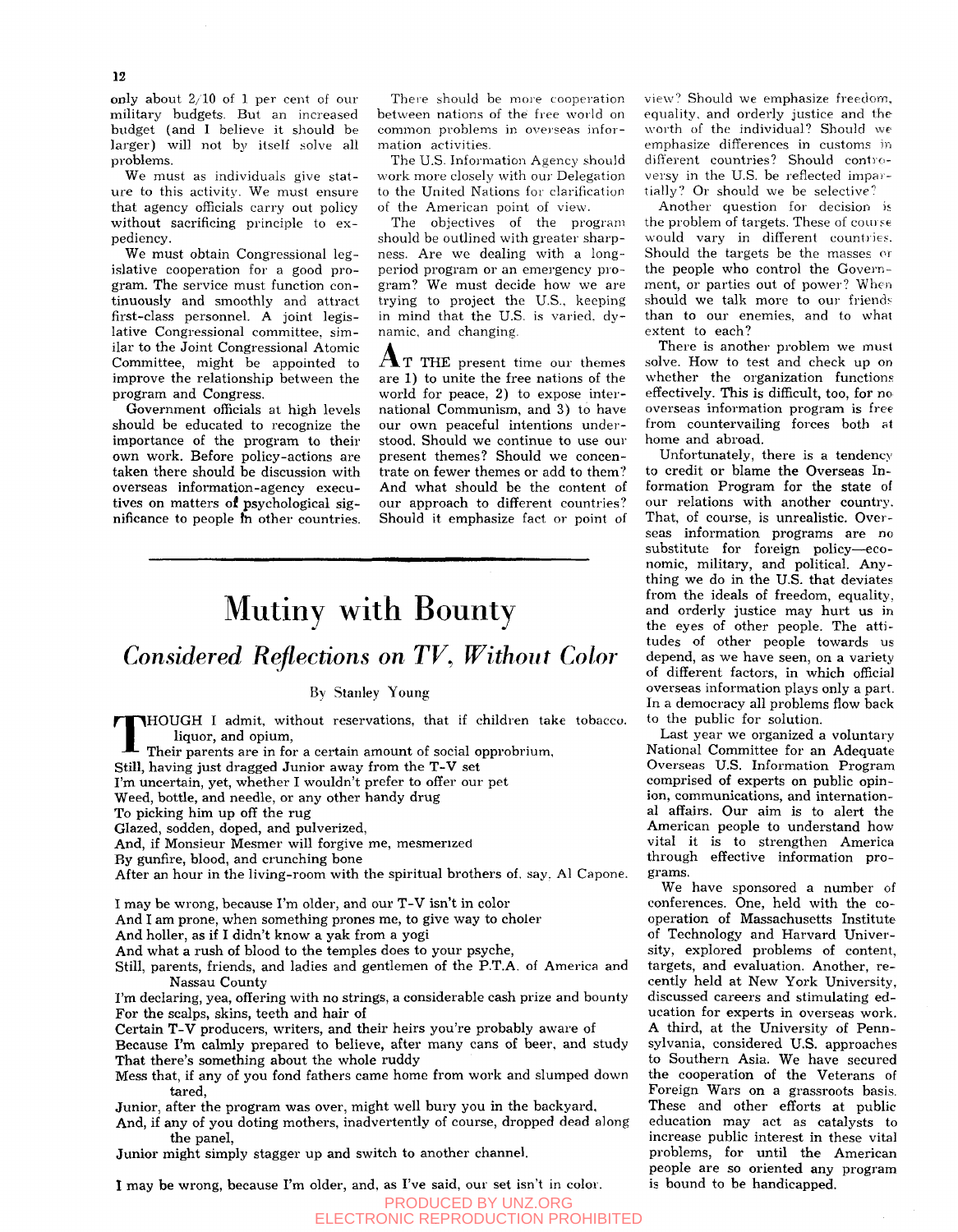only about 2/10 of 1 per cent of our military budgets. But an increased budget (and I believe it should be larger) will not by itself solve all problems.

We must as individuals give stature to this activity. We must ensure that agency officials carry out policy without sacrificing principle to expediency.

We must obtain Congressional legislative cooperation for a good program. The service must function continuously and smoothly and attract first-class personnel. A joint legislative Congressional committee, similar to the Joint Congressional Atomic Committee, might be appointed to improve the relationship between the program and Congress.

Government officials at high levels should be educated to recognize the importance of the program to their own work. Before policy-actions are taken there should be discussion with overseas information-agency executives on matters of psychological significance to people fh other countries.

There should be *more* cooperation between nations of the free world on common problems in overseas information activities.

The U.S. Information Agency should work more closely with our Delegation to the United Nations for clarification of the American point of view.

The objectives of the program should be outlined with greater sharpness. Are we dealing with a longperiod program or an emergency program? We must decide how we are trying to project the U.S., keeping in mind that the U.S. is varied, dynamic, and changing.

 $A$ T THE present time our themes are 1) to unite the free nations of the world for peace,  $2$ ) to expose international Communism, and 3) to have our own peaceful intentions understood. Should we continue to use our present themes? Should we concentrate on fewer themes or add to them? And what should be the content of our approach to different countries? Should it emphasize fact or point of

# Mutiny with Bounty

### *Considered Reflections on TV^ Without Color*

#### By Stanley Young

T HOUGH I admit, without reservations, that if children take tobacco, liquor, and opium.

Their parents are in for a certain amount of social opprobrium.

Still, having just dragged Junior away from the T-V set

I'm uncertain, yet, whether I wouldn't prefer to offer our pet

Weed, bottle, and needle, or any other handy drug

To picking him up off the rug

Glazed, sodden, doped, and pulverized.

And, if Monsieur Mesmer will forgive me, mesmerized

By gunfire, blood, and crunching bone

After an hour in the living-room with the spiritual brothers of. say. Al Capone.

I may be wrong, because I'm older, and our T-V isn't in color

And I am prone, when something prones me, to give way to choler

And holler, as if I didn't know a yak from a yogi

And what a rush of blood to the temples does to your psyche,

Still, parents, friends, and ladies and gentlemen of the P.T.A. of America and Nassau County

I'm declaring, yea, offering with no strings, a considerable cash prize and bounty For the scalps, skins, teeth and hair of

Certain T-V producers, writers, and their heirs you're probably aware of

Because I'm calmly prepared to believe, after many cans of beer, and study That there's something about the whole ruddy

Mess that, if any of you fond fathers came home from work and slumped down tared,

Junior, after the program was over, might well bury you in the backyard,

And, if any of you doting mothers, inadvertently of course, dropped dead along the panel,

Junior might simply stagger up and switch to another channel.

1 may be wrong, because I'm older, and, as I've said, our set isn't in color.

PRODUCED BY UNZ.ORG ELECTRONIC REPRODUCTION PROHIBITED

view'? Should we emphasize freedom, equality, and orderly justice and the worth of the individual? Should we emphasize differences in customs in different countries? Should controversy in the U.S. be reflected impartially? Or should we be selective?

Another question for decision is the problem of targets. These of course would vary in different countries. Should the targets be the masses *or*  the people who control the Government, or parties out of power? When should we talk more to our friends than to our enemies, and to what extent to each?

There is another problem we must solve. How to test and check up on whether the organization functions effectively. This is difficult, too, for no overseas information program is free from countervailing forces both at home and abroad.

Unfortunately, there is a tendenc\' to credit or blame the Overseas Information Program for the state of our relations with another country. That, of course, is unrealistic. Overseas information programs are no substitute for foreign policy—economic, military, and political. Anything we do in the U.S. that deviates from the ideals of freedom, equality, and orderly justice may hurt us in the eyes of other people. The attitudes of other people towards us depend, as we have seen, on a variety of different factors, in which official overseas information plays only a part. In a democracy all problems flow back to the public for solution.

Last year we organized a voluntary National Committee for an Adequate Overseas U.S. Information Program comprised of experts on public opinion, communications, and international affairs. Our aim is to alert the American people to understand how vital it is to strengthen America through effective information programs.

We have sponsored a number of conferences. One, held with the cooperation of Massachusetts Institute of Technology and Harvard University, explored problems of content, targets, and evaluation. Another, recently held at New York University, discussed careers and stimulating education for experts in overseas work. A third, at the University of Pennsylvania, considered U.S. approaches to Southern Asia. We have secured the cooperation of the Veterans of Foreign Wars on a grassroots basis. These and other efforts at public education may act as catalysts to increase public interest in these vital problems, for until the American people are so oriented any program is bound to be handicapped.